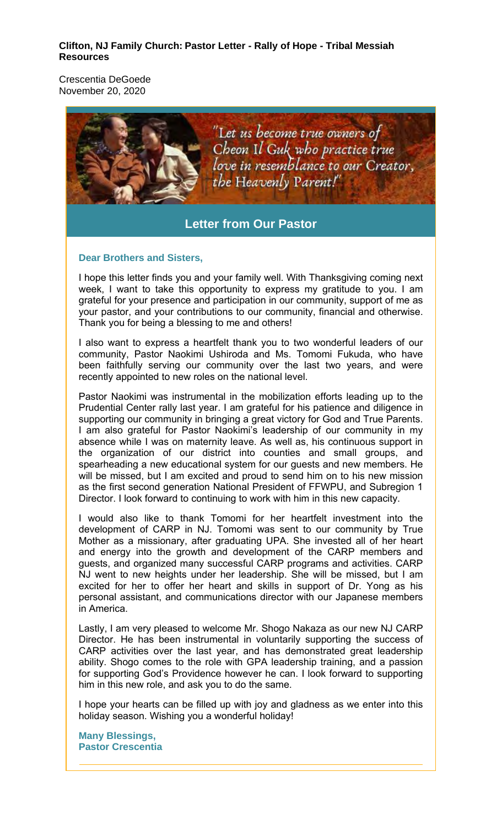#### **Clifton, NJ Family Church: Pastor Letter - Rally of Hope - Tribal Messiah Resources**

Crescentia DeGoede November 20, 2020



# **Letter from Our Pastor**

#### **Dear Brothers and Sisters,**

I hope this letter finds you and your family well. With Thanksgiving coming next week, I want to take this opportunity to express my gratitude to you. I am grateful for your presence and participation in our community, support of me as your pastor, and your contributions to our community, financial and otherwise. Thank you for being a blessing to me and others!

I also want to express a heartfelt thank you to two wonderful leaders of our community, Pastor Naokimi Ushiroda and Ms. Tomomi Fukuda, who have been faithfully serving our community over the last two years, and were recently appointed to new roles on the national level.

Pastor Naokimi was instrumental in the mobilization efforts leading up to the Prudential Center rally last year. I am grateful for his patience and diligence in supporting our community in bringing a great victory for God and True Parents. I am also grateful for Pastor Naokimi's leadership of our community in my absence while I was on maternity leave. As well as, his continuous support in the organization of our district into counties and small groups, and spearheading a new educational system for our guests and new members. He will be missed, but I am excited and proud to send him on to his new mission as the first second generation National President of FFWPU, and Subregion 1 Director. I look forward to continuing to work with him in this new capacity.

I would also like to thank Tomomi for her heartfelt investment into the development of CARP in NJ. Tomomi was sent to our community by True Mother as a missionary, after graduating UPA. She invested all of her heart and energy into the growth and development of the CARP members and guests, and organized many successful CARP programs and activities. CARP NJ went to new heights under her leadership. She will be missed, but I am excited for her to offer her heart and skills in support of Dr. Yong as his personal assistant, and communications director with our Japanese members in America.

Lastly, I am very pleased to welcome Mr. Shogo Nakaza as our new NJ CARP Director. He has been instrumental in voluntarily supporting the success of CARP activities over the last year, and has demonstrated great leadership ability. Shogo comes to the role with GPA leadership training, and a passion for supporting God's Providence however he can. I look forward to supporting him in this new role, and ask you to do the same.

I hope your hearts can be filled up with joy and gladness as we enter into this holiday season. Wishing you a wonderful holiday!

**Many Blessings, Pastor Crescentia**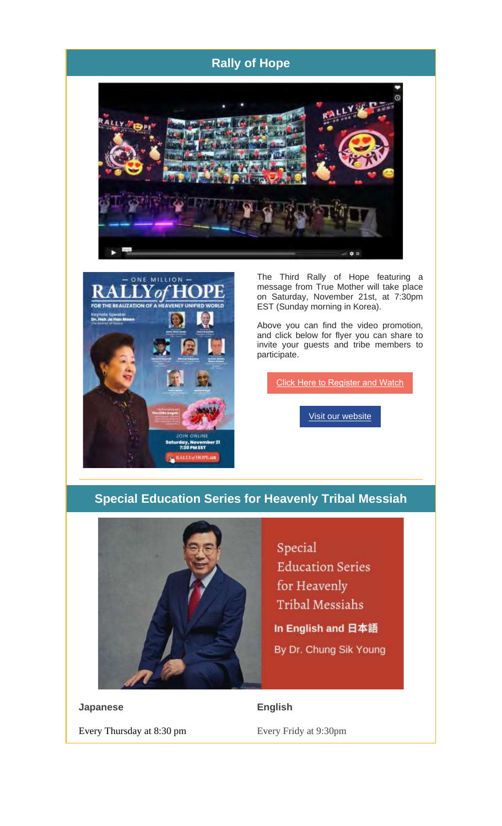# **Rally of Hope**





The Third Rally of Hope featuring a message from True Mother will take place on Saturday, November 21st, at 7:30pm EST (Sunday morning in Korea).

Above you can find the video promotion, and click below for flyer you can share to invite your guests and tribe members to participate.

Click Here to Register and Watch

Visit our website

## **Special Education Series for Heavenly Tribal Messiah**



Special **Education Series** for Heavenly Tribal Messiahs

In English and 日本語 By Dr. Chung Sik Young

**Japanese** Every Thursday at 8:30 pm

#### **English**

Every Fridy at 9:30pm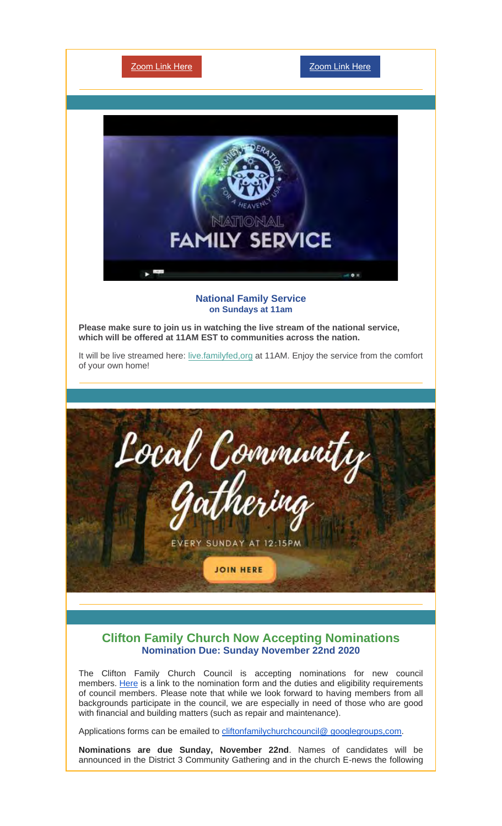

### **Clifton Family Church Now Accepting Nominations Nomination Due: Sunday November 22nd 2020**

The Clifton Family Church Council is accepting nominations for new council members. Here is a link to the nomination form and the duties and eligibility requirements of council members. Please note that while we look forward to having members from all backgrounds participate in the council, we are especially in need of those who are good with financial and building matters (such as repair and maintenance).

Applications forms can be emailed to cliftonfamilychurchcouncil@ googlegroups,com.

**Nominations are due Sunday, November 22nd**. Names of candidates will be announced in the District 3 Community Gathering and in the church E-news the following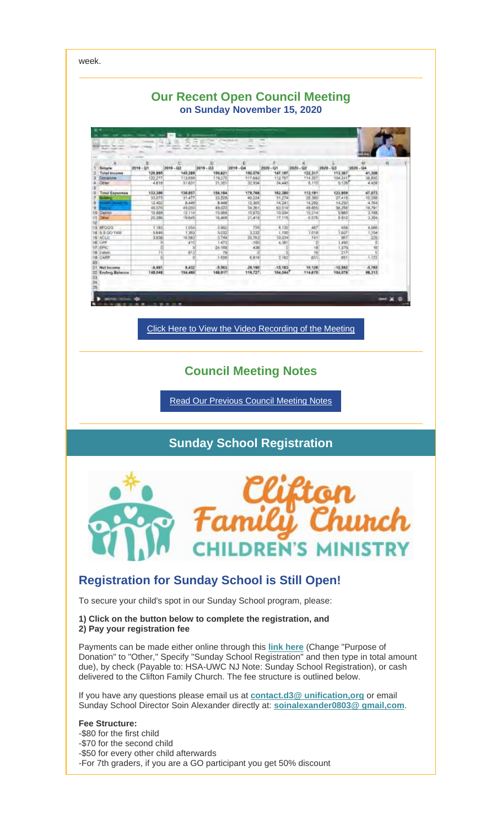week. **Our Recent Open Council Meeting on Sunday November 15, 2020** 24, 2 as<br>113.367<br>104.241 2019 - 03 01<br>147,187<br>112.757<br>34,440 02<br>122.317<br>114.307 Siengle<br>Tetal i 126,885<br>122,277<br>4.010 150,621<br>150,621<br>11,351 145.288 150,576 17.642<br>32.934 M.241<br>9.136 13.668<br>11.631 0.850<br>6.858  $0.10$ 156,184<br>33,028<br>8,448 179,768<br>49,224<br>12,365<br>14,261<br>10,670<br>21,419 162,380<br>31,274<br>14,241<br>63,510 112.191<br>28.360<br>14.292<br>49.655<br>10.214<br>6.576 Total 6 133,386 138,857<br>31.477 123,959 47.073 27.41<br>14.23<br>16.25 10.86<br>70.28 8F020<br>8.5 GO YAN<br>ACLC<br>UPF 1.193 1.0S 3.002 T2P  $0.130$ 467  $4044$ 3.232<br>10.763  $3.820$ 3.740<br>1.472 10.334<br>4.381 y. I ere<br>CARS  $\frac{70}{1.650}$  $\overrightarrow{372}$ 6.319  $2.16$ ib) **8,432**<br>154,480 15:183 4,765<br>18,313 -8,491<br>840,841 -5.563<br>148.917 28,190<br>119,727 10,126 10,592  $-8 \times 0$ в Click Here to View the Video Recording of the Meeting **Council Meeting Notes** Read Our Previous Council Meeting Notes

# **Sunday School Registration**



# **Registration for Sunday School is Still Open!**

To secure your child's spot in our Sunday School program, please:

#### **1) Click on the button below to complete the registration, and 2) Pay your registration fee**

Payments can be made either online through this **link here** (Change "Purpose of Donation" to "Other," Specify "Sunday School Registration" and then type in total amount due), by check (Payable to: HSA-UWC NJ Note: Sunday School Registration), or cash delivered to the Clifton Family Church. The fee structure is outlined below.

If you have any questions please email us at **contact.d3@ unification,org** or email Sunday School Director Soin Alexander directly at: **soinalexander0803@ gmail,com**.

#### **Fee Structure:**

-\$80 for the first child -\$70 for the second child -\$50 for every other child afterwards -For 7th graders, if you are a GO participant you get 50% discount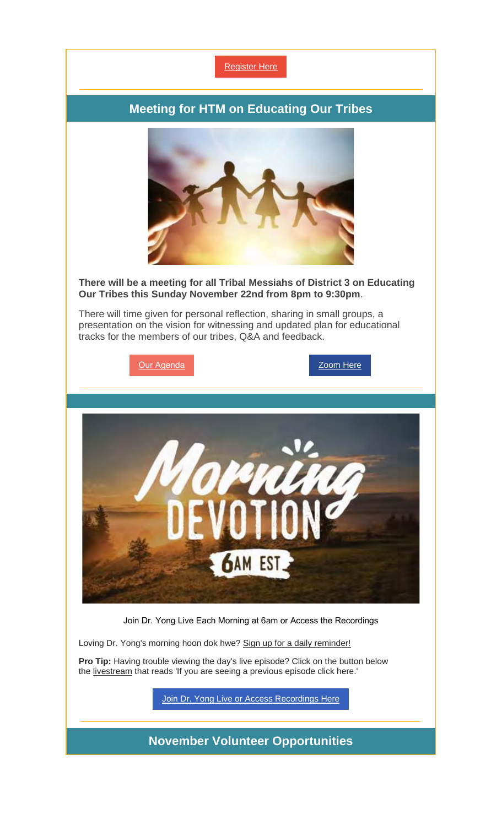

## **Meeting for HTM on Educating Our Tribes**



#### **There will be a meeting for all Tribal Messiahs of District 3 on Educating Our Tribes this Sunday November 22nd from 8pm to 9:30pm**.

There will time given for personal reflection, sharing in small groups, a presentation on the vision for witnessing and updated plan for educational tracks for the members of our tribes, Q&A and feedback.





Join Dr. Yong Live Each Morning at 6am or Access the Recordings

Loving Dr. Yong's morning hoon dok hwe? Sign up for a daily reminder!

**Pro Tip:** Having trouble viewing the day's live episode? Click on the button below the livestream that reads 'If you are seeing a previous episode click here.'

Join Dr. Yong Live or Access Recordings Here

**November Volunteer Opportunities**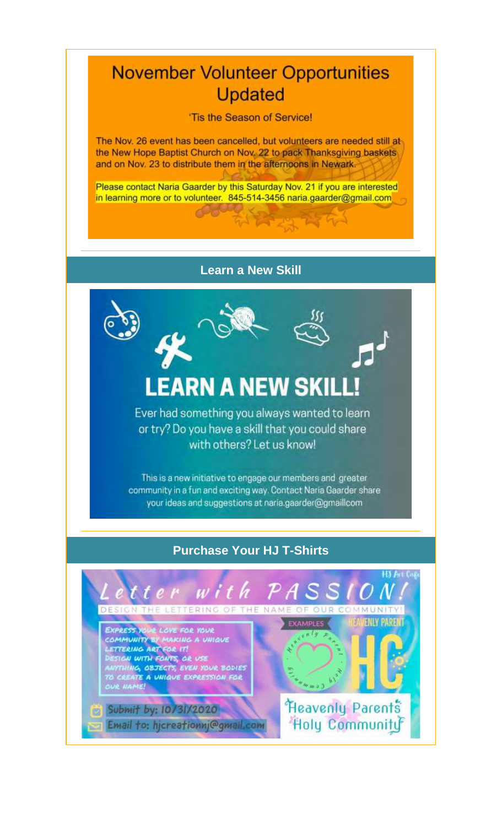# **November Volunteer Opportunities Updated**

'Tis the Season of Service!

The Nov. 26 event has been cancelled, but volunteers are needed still at the New Hope Baptist Church on Nov. 22 to pack Thanksgiving baskets and on Nov. 23 to distribute them in the afternoons in Newark.

Please contact Naria Gaarder by this Saturday Nov. 21 if you are interested in learning more or to volunteer. 845-514-3456 naria.gaarder@gmail.com

2232197

## **Learn a New Skill**



Ever had something you always wanted to learn or try? Do you have a skill that you could share with others? Let us know!

This is a new initiative to engage our members and greater community in a fun and exciting way. Contact Naria Gaarder share your ideas and suggestions at naria.gaarder@gmaillcom

# **Purchase Your HJ T-Shirts**